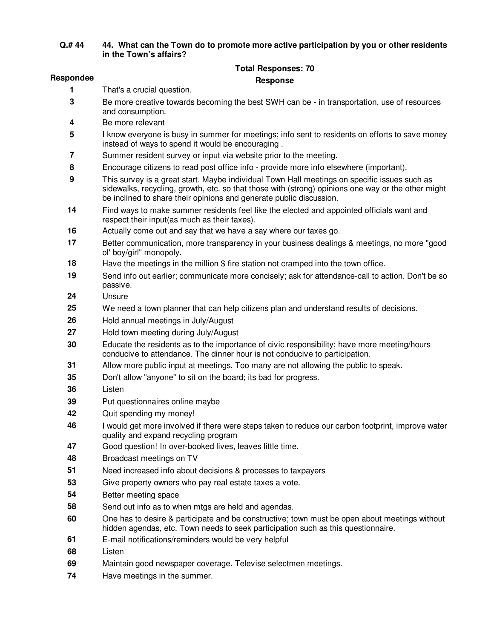## **Q.# 44 44. What can the Town do to promote more active participation by you or other residents in the Town's affairs?**

## **Total Responses: 70**

## **Respondee Response**

- That's a crucial question.
- Be more creative towards becoming the best SWH can be in transportation, use of resources and consumption.
- Be more relevant
- I know everyone is busy in summer for meetings; info sent to residents on efforts to save money instead of ways to spend it would be encouraging .
- Summer resident survey or input via website prior to the meeting.
- Encourage citizens to read post office info provide more info elsewhere (important).
- This survey is a great start. Maybe individual Town Hall meetings on specific issues such as sidewalks, recycling, growth, etc. so that those with (strong) opinions one way or the other might be inclined to share their opinions and generate public discussion.
- Find ways to make summer residents feel like the elected and appointed officials want and respect their input(as much as their taxes).
- Actually come out and say that we have a say where our taxes go.
- Better communication, more transparency in your business dealings & meetings, no more "good ol' boy/girl" monopoly.
- Have the meetings in the million \$ fire station not cramped into the town office.
- Send info out earlier; communicate more concisely; ask for attendance-call to action. Don't be so passive.
- Unsure
- We need a town planner that can help citizens plan and understand results of decisions.
- Hold annual meetings in July/August
- Hold town meeting during July/August
- Educate the residents as to the importance of civic responsibility; have more meeting/hours conducive to attendance. The dinner hour is not conducive to participation.
- Allow more public input at meetings. Too many are not allowing the public to speak.
- Don't allow "anyone" to sit on the board; its bad for progress.
- Listen
- Put questionnaires online maybe
- Quit spending my money!
- I would get more involved if there were steps taken to reduce our carbon footprint, improve water quality and expand recycling program
- Good question! In over-booked lives, leaves little time.
- Broadcast meetings on TV
- Need increased info about decisions & processes to taxpayers
- Give property owners who pay real estate taxes a vote.
- Better meeting space
- Send out info as to when mtgs are held and agendas.
- One has to desire & participate and be constructive; town must be open about meetings without hidden agendas, etc. Town needs to seek participation such as this questionnaire.
- E-mail notifications/reminders would be very helpful
- Listen
- Maintain good newspaper coverage. Televise selectmen meetings.
- Have meetings in the summer.